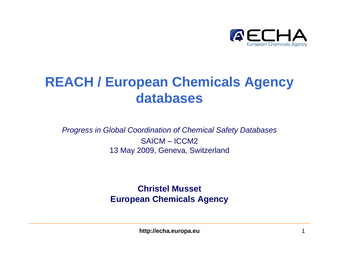

### **REACH / European Chemicals Agency databases**

*Progress in Global Coordination of Chemical Safety Databases* SAICM – ICCM213 May 2009, Geneva, Switzerland

> **Christel Musset European Chemicals Agency**

> > **http://echa.europa.eu** 1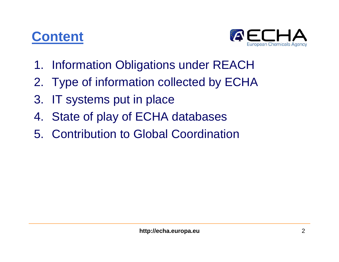### **Content**



- 1. Information Obligations under REACH
- 2. Type of information collected by ECHA
- 3. IT systems put in place
- 4. State of play of ECHA databases
- 5. Contribution to Global Coordination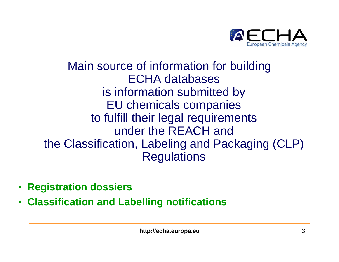

### Main source of information for building ECHA databases is information submitted by EU chemicals companies to fulfill their legal requirements under the REACH and the Classification, Labeling and Packaging (CLP) **Regulations**

- **Registration dossiers**
- •**Classification and Labelling notifications**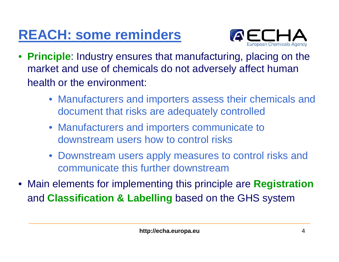# **REACH: some reminders**



- **Principle**: Industry ensures that manufacturing, placing on the market and use of chemicals do not adversely affect human health or the environment:
	- Manufacturers and importers assess their chemicals and document that risks are adequately controlled
	- Manufacturers and importers communicate to downstream users how to control risks
	- Downstream users apply measures to control risks and communicate this further downstream
- Main elements for implementing this principle are **Registration** and **Classification & Labelling** based on the GHS system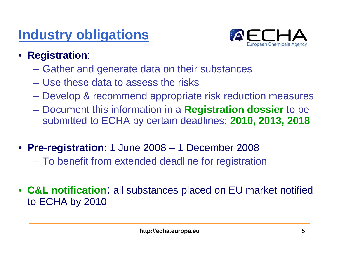### **Industry obligations**



- **Registration**:
	- Gather and generate data on their substances
	- Use these data to assess the risks
	- Develop & recommend appropriate risk reduction measures
	- – Document this information in a **Registration dossier** to be submitted to ECHA by certain deadlines: **2010, 2013, 2018**
- **Pre-registration**: 1 June 2008 1 December 2008
	- –To benefit from extended deadline for registration
- **C&L notification**: all substances placed on EU market notified to ECHA by 2010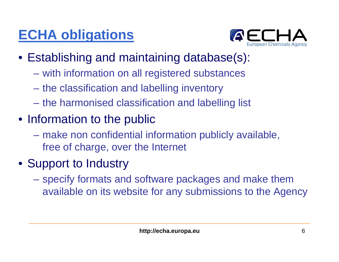## **ECHA obligations**



- Establishing and maintaining database(s):
	- **Holland** and the control with information on all registered substances
	- **Holland** and the control the classification and labelling inventory
	- **Holland** and the control the harmonised classification and labelling list
- Information to the public
	- make non confidential information publicly available, free of charge, over the Internet
- Support to Industry
	- **Holland** and the control specify formats and software packages and make them available on its website for any submissions to the Agency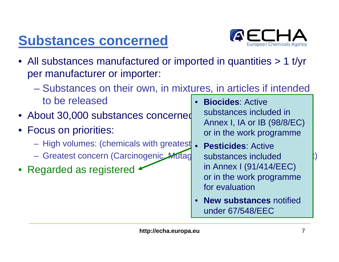## **Substances concerned**



- All substances manufactured or imported in quantities > 1 t/yr per manufacturer or importer:
	- $\mathcal{L}_{\mathcal{A}}$  Substances on their own, in mixtures, in articles if intended to be released•**Biocides**: Active
- About 30,000 substances concerned
- Focus on priorities:
	- High volumes: (chemicals with greatest **Pesticides**: Active
	- Greatest concern (Carcinogenic, Mutag substances included i)
- Regarded as registered

substances included in Annex I, IA or IB (98/8/EC) or in the work programme

- • **Pesticides**: Active substances included in Annex I (91/414/EEC) or in the work programme for evaluation
- • **New substances** notified under 67/548/EEC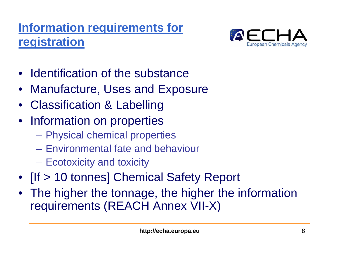### **Information requirements for registration**



- $\bullet$ Identification of the substance
- Manufacture, Uses and Exposure
- Classification & Labelling
- Information on properties
	- Physical chemical properties
	- Environmental fate and behaviour
	- Ecotoxicity and toxicity
- [If > 10 tonnes] Chemical Safety Report
- The higher the tonnage, the higher the information requirements (REACH Annex VII-X)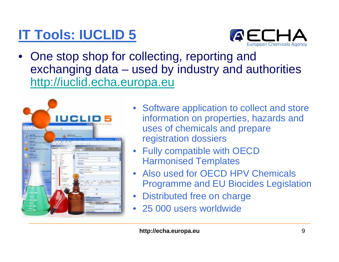## **IT Tools: IUCLID 5**



• One stop shop for collecting, reporting and exchanging data – used by industry and authorities http://iuclid.echa.europa.eu



- Software application to collect and store information on properties, hazards and uses of chemicals and prepare registration dossiers
- Fully compatible with OECD Harmonised Templates
- Also used for OECD HPV Chemicals Programme and EU Biocides Legislation
- Distributed free on charge
- 25 000 users worldwide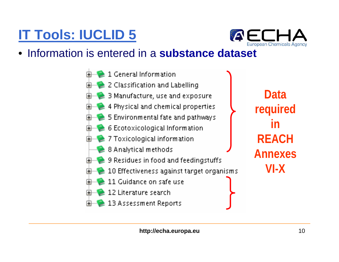# **IT Tools: IUCLID 5**



#### •**• Information is entered in a substance dataset**

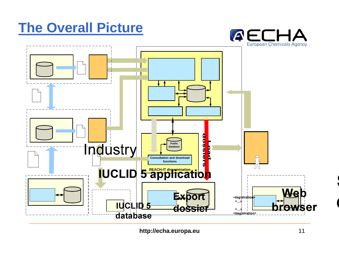### **The Overall Picture**





**http://echa.europa.eu** 11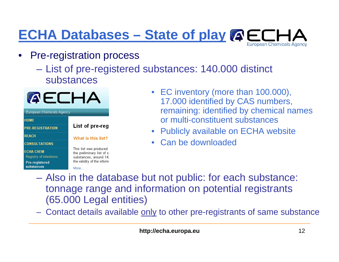### **ECHA Databases – State of play**European Chemicals Agency

- $\bullet$  Pre-registration process
	- List of pre-registered substances: 140.000 distinct substances



- EC inventory (more than 100.000), 17.000 identified by CAS numbers, remaining: identified by chemical names or multi-constituent substances
- $\bullet$ Publicly available on ECHA website
- $\bullet$ Can be downloaded
- Also in the database but not public: for each substance: tonnage range and information on potential registrants (65.000 Legal entities)
- Contact details available only to other pre-registrants of same substance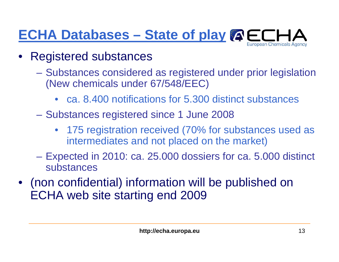### **ECHA Databases – State of play**European Chemicals Agency

- $\bullet$  Registered substances
	- **Holland** and the control Substances considered as registered under prior legislation (New chemicals under 67/548/EEC)
		- ca. 8.400 notifications for 5.300 distinct substances
	- Substances registered since 1 June 2008
		- 175 registration received (70% for substances used as intermediates and not placed on the market)
	- Expected in 2010: ca. 25.000 dossiers for ca. 5.000 distinct substances
- • (non confidential) information will be published on ECHA web site starting end 2009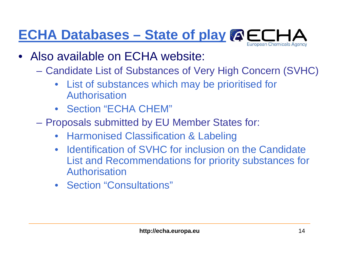### **ECHA Databases – State of play**European Chemicals Agency

- $\bullet$  Also available on ECHA website:
	- – Candidate List of Substances of Very High Concern (SVHC)
		- List of substances which may be prioritised for Authorisation
		- Section "ECHA CHEM"
	- – Proposals submitted by EU Member States for:
		- Harmonised Classification & Labeling
		- $\bullet$  Identification of SVHC for inclusion on the Candidate List and Recommendations for priority substances for Authorisation
		- Section "Consultations"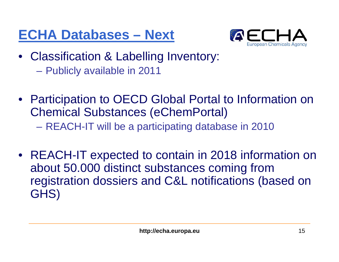## **ECHA Databases – Next**



- Classification & Labelling Inventory: –Publicly available in 2011
- Participation to OECD Global Portal to Information on Chemical Substances (eChemPortal) –REACH-IT will be a participating database in 2010
- REACH-IT expected to contain in 2018 information on about 50.000 distinct substances coming from registration dossiers and C&L notifications (based on GHS)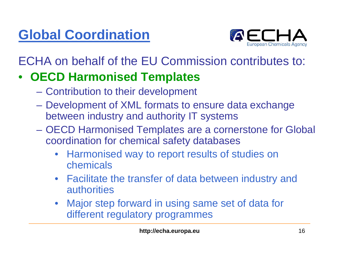# **Global Coordination**



ECHA on behalf of the EU Commission contributes to:

### $\bullet$ **OECD Harmonised Templates**

- Contribution to their development
- Development of XML formats to ensure data exchange between industry and authority IT systems
- OECD Harmonised Templates are a cornerstone for Global coordination for chemical safety databases
	- $\bullet$  Harmonised way to report results of studies on chemicals
	- $\bullet$  Facilitate the transfer of data between industry and authorities
	- • Major step forward in using same set of data for different regulatory programmes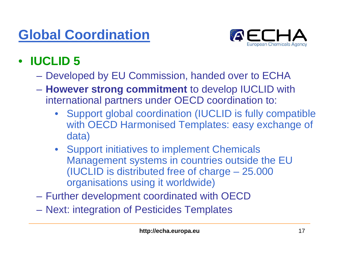## **Global Coordination**



#### •**IUCLID 5**

- Developed by EU Commission, handed over to ECHA
- **However strong commitment** to develop IUCLID with international partners under OECD coordination to:
	- $\bullet$  Support global coordination (IUCLID is fully compatible with OECD Harmonised Templates: easy exchange of data)
	- Support initiatives to implement Chemicals Management systems in countries outside the EU (IUCLID is distributed free of charge – 25.000 organisations using it worldwide)
- Further development coordinated with OECD
- –Next: integration of Pesticides Templates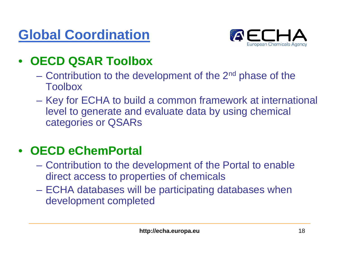## **Global Coordination**



### •**OECD QSAR Toolbox**

- Contribution to the development of the 2<sup>nd</sup> phase of the Toolbox
- **Holland** and the control Key for ECHA to build a common framework at international level to generate and evaluate data by using chemical categories or QSARs

#### $\bullet$ **OECD eChemPortal**

- Contribution to the development of the Portal to enable direct access to properties of chemicals
- ECHA databases will be participating databases when development completed